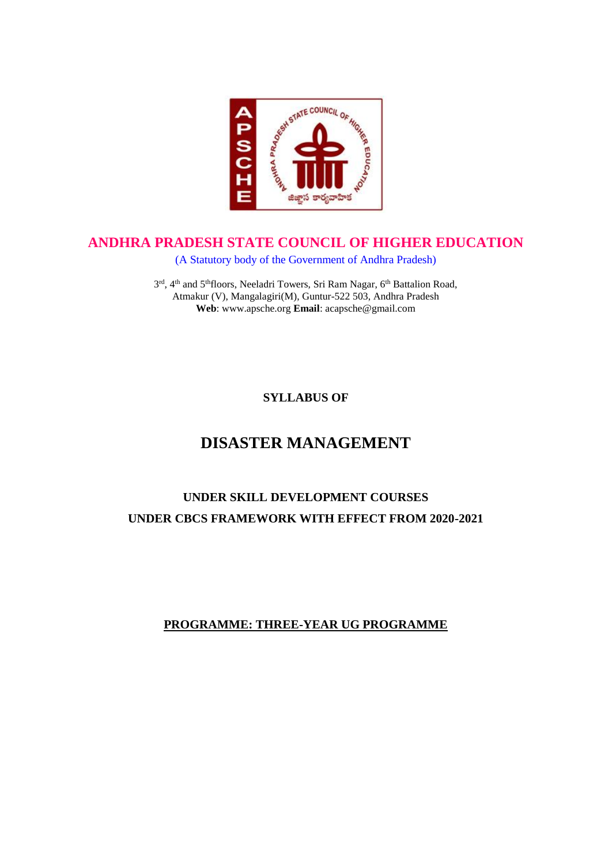

## **ANDHRA PRADESH STATE COUNCIL OF HIGHER EDUCATION**

(A Statutory body of the Government of Andhra Pradesh)

3<sup>rd</sup>, 4<sup>th</sup> and 5<sup>th</sup>floors, Neeladri Towers, Sri Ram Nagar, 6<sup>th</sup> Battalion Road, Atmakur (V), Mangalagiri(M), Guntur-522 503, Andhra Pradesh **Web**: www.apsche.org **Email**: acapsche@gmail.com

**SYLLABUS OF**

# **DISASTER MANAGEMENT**

# **UNDER SKILL DEVELOPMENT COURSES UNDER CBCS FRAMEWORK WITH EFFECT FROM 2020-2021**

## **PROGRAMME: THREE-YEAR UG PROGRAMME**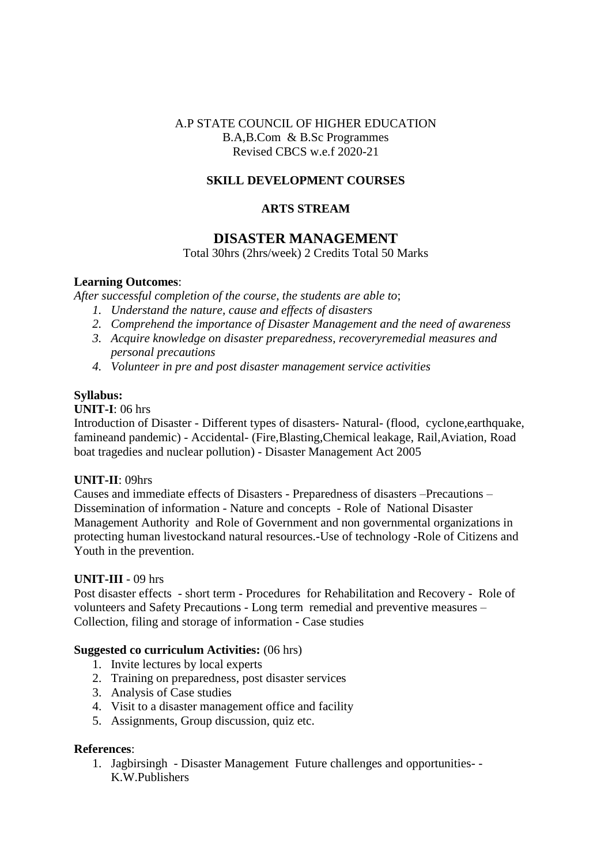#### A.P STATE COUNCIL OF HIGHER EDUCATION B.A,B.Com & B.Sc Programmes Revised CBCS w.e.f 2020-21

#### **SKILL DEVELOPMENT COURSES**

#### **ARTS STREAM**

### **DISASTER MANAGEMENT**

Total 30hrs (2hrs/week) 2 Credits Total 50 Marks

#### **Learning Outcomes**:

*After successful completion of the course, the students are able to*;

- *1. Understand the nature, cause and effects of disasters*
- *2. Comprehend the importance of Disaster Management and the need of awareness*
- *3. Acquire knowledge on disaster preparedness, recoveryremedial measures and personal precautions*
- *4. Volunteer in pre and post disaster management service activities*

#### **Syllabus:**

#### **UNIT-I**: 06 hrs

Introduction of Disaster - Different types of disasters- Natural- (flood, cyclone,earthquake, famineand pandemic) - Accidental- (Fire,Blasting,Chemical leakage, Rail,Aviation, Road boat tragedies and nuclear pollution) - Disaster Management Act 2005

#### **UNIT-II**: 09hrs

Causes and immediate effects of Disasters - Preparedness of disasters –Precautions – Dissemination of information - Nature and concepts - Role of National Disaster Management Authority and Role of Government and non governmental organizations in protecting human livestockand natural resources.-Use of technology -Role of Citizens and Youth in the prevention.

#### **UNIT-III** - 09 hrs

Post disaster effects - short term - Procedures for Rehabilitation and Recovery - Role of volunteers and Safety Precautions - Long term remedial and preventive measures – Collection, filing and storage of information - Case studies

#### **Suggested co curriculum Activities:** (06 hrs)

- 1. Invite lectures by local experts
- 2. Training on preparedness, post disaster services
- 3. Analysis of Case studies
- 4. Visit to a disaster management office and facility
- 5. Assignments, Group discussion, quiz etc.

#### **References**:

1. Jagbirsingh - Disaster Management Future challenges and opportunities- - K.W.Publishers